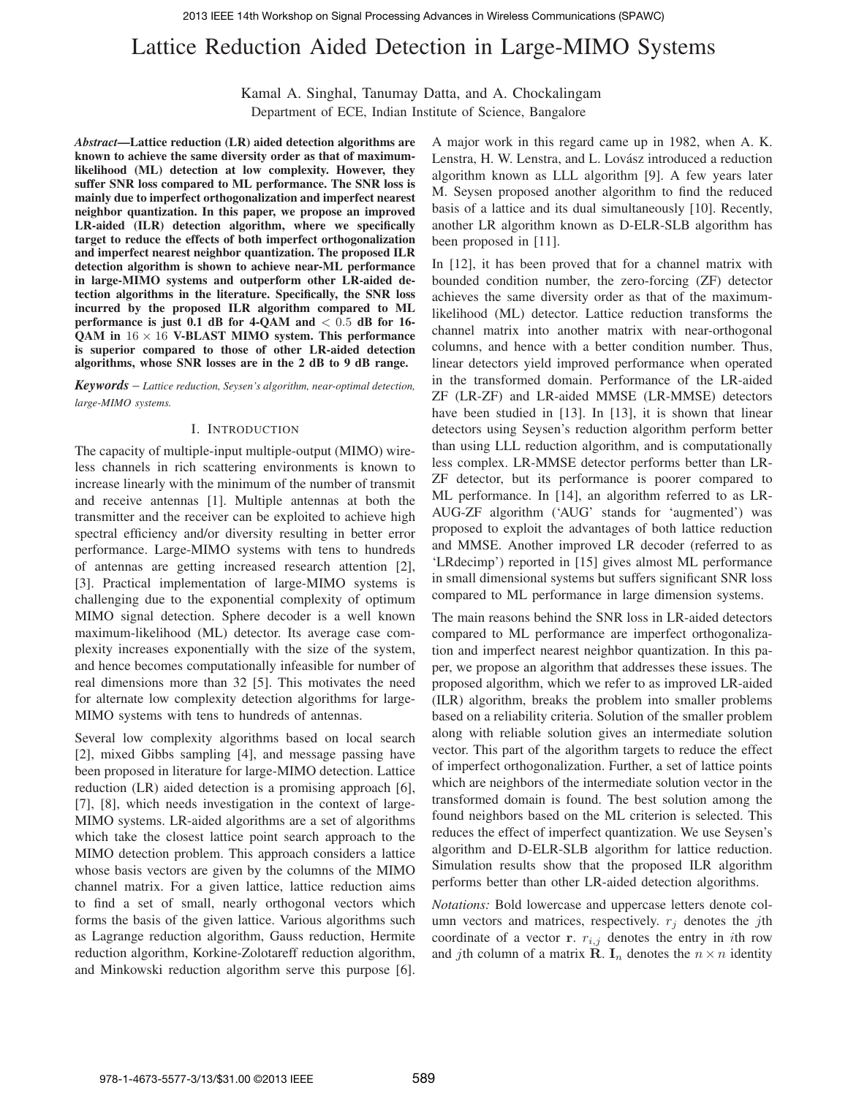# Lattice Reduction Aided Detection in Large-MIMO Systems

Kamal A. Singhal, Tanumay Datta, and A. Chockalingam

Department of ECE, Indian Institute of Science, Bangalore

*Abstract***—Lattice reduction (LR) aided detection algorithms are known to achieve the same diversity order as that of maximumlikelihood (ML) detection at low complexity. However, they suffer SNR loss compared to ML performance. The SNR loss is mainly due to imperfect orthogonalization and imperfect nearest neighbor quantization. In this paper, we propose an improved LR-aided (ILR) detection algorithm, where we specifically target to reduce the effects of both imperfect orthogonalization and imperfect nearest neighbor quantization. The proposed ILR detection algorithm is shown to achieve near-ML performance in large-MIMO systems and outperform other LR-aided detection algorithms in the literature. Specifically, the SNR loss incurred by the proposed ILR algorithm compared to ML performance is just 0.1 dB for 4-QAM and** < 0.5 **dB for 16- QAM in** 16 × 16 **V-BLAST MIMO system. This performance is superior compared to those of other LR-aided detection algorithms, whose SNR losses are in the 2 dB to 9 dB range.**

*Keywords* – *Lattice reduction, Seysen's algorithm, near-optimal detection, large-MIMO systems.*

## I. INTRODUCTION

The capacity of multiple-input multiple-output (MIMO) wireless channels in rich scattering environments is known to increase linearly with the minimum of the number of transmit and receive antennas [1]. Multiple antennas at both the transmitter and the receiver can be exploited to achieve high spectral efficiency and/or diversity resulting in better error performance. Large-MIMO systems with tens to hundreds of antennas are getting increased research attention [2], [3]. Practical implementation of large-MIMO systems is challenging due to the exponential complexity of optimum MIMO signal detection. Sphere decoder is a well known maximum-likelihood (ML) detector. Its average case complexity increases exponentially with the size of the system, and hence becomes computationally infeasible for number of real dimensions more than 32 [5]. This motivates the need for alternate low complexity detection algorithms for large-MIMO systems with tens to hundreds of antennas.

Several low complexity algorithms based on local search [2], mixed Gibbs sampling [4], and message passing have been proposed in literature for large-MIMO detection. Lattice reduction (LR) aided detection is a promising approach [6], [7], [8], which needs investigation in the context of large-MIMO systems. LR-aided algorithms are a set of algorithms which take the closest lattice point search approach to the MIMO detection problem. This approach considers a lattice whose basis vectors are given by the columns of the MIMO channel matrix. For a given lattice, lattice reduction aims to find a set of small, nearly orthogonal vectors which forms the basis of the given lattice. Various algorithms such as Lagrange reduction algorithm, Gauss reduction, Hermite reduction algorithm, Korkine-Zolotareff reduction algorithm, and Minkowski reduction algorithm serve this purpose [6].

A major work in this regard came up in 1982, when A. K. Lenstra, H. W. Lenstra, and L. Lovász introduced a reduction algorithm known as LLL algorithm [9]. A few years later M. Seysen proposed another algorithm to find the reduced basis of a lattice and its dual simultaneously [10]. Recently, another LR algorithm known as D-ELR-SLB algorithm has been proposed in [11].

In [12], it has been proved that for a channel matrix with bounded condition number, the zero-forcing (ZF) detector achieves the same diversity order as that of the maximumlikelihood (ML) detector. Lattice reduction transforms the channel matrix into another matrix with near-orthogonal columns, and hence with a better condition number. Thus, linear detectors yield improved performance when operated in the transformed domain. Performance of the LR-aided ZF (LR-ZF) and LR-aided MMSE (LR-MMSE) detectors have been studied in [13]. In [13], it is shown that linear detectors using Seysen's reduction algorithm perform better than using LLL reduction algorithm, and is computationally less complex. LR-MMSE detector performs better than LR-ZF detector, but its performance is poorer compared to ML performance. In [14], an algorithm referred to as LR-AUG-ZF algorithm ('AUG' stands for 'augmented') was proposed to exploit the advantages of both lattice reduction and MMSE. Another improved LR decoder (referred to as 'LRdecimp') reported in [15] gives almost ML performance in small dimensional systems but suffers significant SNR loss compared to ML performance in large dimension systems.

The main reasons behind the SNR loss in LR-aided detectors compared to ML performance are imperfect orthogonalization and imperfect nearest neighbor quantization. In this paper, we propose an algorithm that addresses these issues. The proposed algorithm, which we refer to as improved LR-aided (ILR) algorithm, breaks the problem into smaller problems based on a reliability criteria. Solution of the smaller problem along with reliable solution gives an intermediate solution vector. This part of the algorithm targets to reduce the effect of imperfect orthogonalization. Further, a set of lattice points which are neighbors of the intermediate solution vector in the transformed domain is found. The best solution among the found neighbors based on the ML criterion is selected. This reduces the effect of imperfect quantization. We use Seysen's algorithm and D-ELR-SLB algorithm for lattice reduction. Simulation results show that the proposed ILR algorithm performs better than other LR-aided detection algorithms.

*Notations:* Bold lowercase and uppercase letters denote column vectors and matrices, respectively.  $r_i$  denotes the jth coordinate of a vector **r**.  $r_{i,j}$  denotes the entry in *i*th row and jth column of a matrix **R**.  $I_n$  denotes the  $n \times n$  identity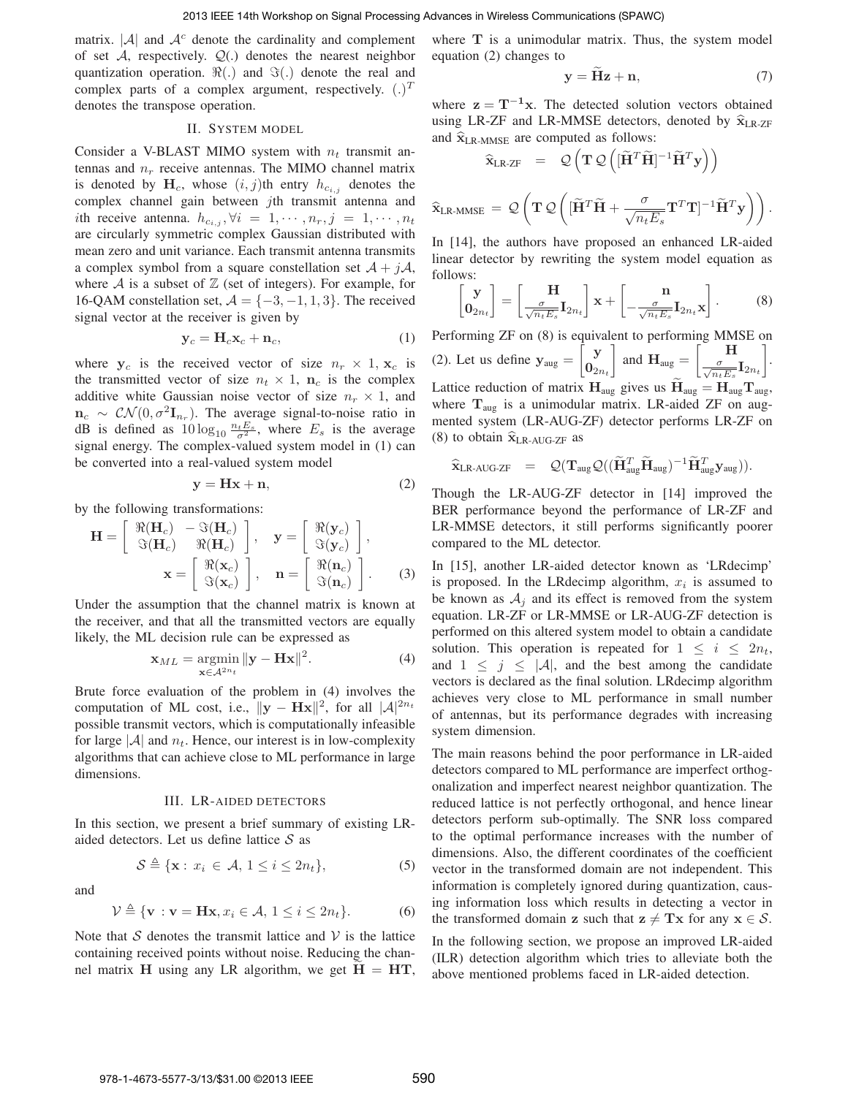matrix.  $|\mathcal{A}|$  and  $\mathcal{A}^c$  denote the cardinality and complement of set  $A$ , respectively.  $Q(.)$  denotes the nearest neighbor quantization operation.  $\Re(.)$  and  $\Im(.)$  denote the real and complex parts of a complex argument, respectively.  $(.)^T$ denotes the transpose operation.

## II. SYSTEM MODEL

Consider a V-BLAST MIMO system with  $n_t$  transmit antennas and  $n_r$  receive antennas. The MIMO channel matrix is denoted by  $H_c$ , whose  $(i, j)$ th entry  $h_{c_{i,j}}$  denotes the complex channel gain between jth transmit antenna and ith receive antenna.  $h_{c_{i,j}}, \forall i = 1, \cdots, n_r, j = 1, \cdots, n_t$ are circularly symmetric complex Gaussian distributed with mean zero and unit variance. Each transmit antenna transmits a complex symbol from a square constellation set  $A + jA$ , where  $A$  is a subset of  $\mathbb Z$  (set of integers). For example, for 16-QAM constellation set,  $A = \{-3, -1, 1, 3\}$ . The received signal vector at the receiver is given by

$$
\mathbf{y}_c = \mathbf{H}_c \mathbf{x}_c + \mathbf{n}_c,\tag{1}
$$

where  $y_c$  is the received vector of size  $n_r \times 1$ ,  $x_c$  is the transmitted vector of size  $n_t \times 1$ ,  $n_c$  is the complex additive white Gaussian noise vector of size  $n_r \times 1$ , and  $\mathbf{n}_c \sim \mathcal{CN}(0, \sigma^2 \mathbf{I}_{n_r})$ . The average signal-to-noise ratio in dB is defined as  $10\log_{10}\frac{n_t E_s}{\sigma^2}$ , where  $E_s$  is the average signal energy. The complex-valued system model in (1) can be converted into a real-valued system model

$$
y = Hx + n,\t(2)
$$

by the following transformations:

$$
\mathbf{H} = \begin{bmatrix} \Re(\mathbf{H}_c) & -\Im(\mathbf{H}_c) \\ \Im(\mathbf{H}_c) & \Re(\mathbf{H}_c) \end{bmatrix}, \quad \mathbf{y} = \begin{bmatrix} \Re(\mathbf{y}_c) \\ \Im(\mathbf{y}_c) \end{bmatrix},
$$

$$
\mathbf{x} = \begin{bmatrix} \Re(\mathbf{x}_c) \\ \Im(\mathbf{x}_c) \end{bmatrix}, \quad \mathbf{n} = \begin{bmatrix} \Re(\mathbf{n}_c) \\ \Im(\mathbf{n}_c) \end{bmatrix}. \tag{3}
$$

Under the assumption that the channel matrix is known at the receiver, and that all the transmitted vectors are equally likely, the ML decision rule can be expressed as

$$
\mathbf{x}_{ML} = \underset{\mathbf{x} \in \mathcal{A}^{2n_t}}{\operatorname{argmin}} \|\mathbf{y} - \mathbf{H}\mathbf{x}\|^2. \tag{4}
$$

Brute force evaluation of the problem in (4) involves the computation of ML cost, i.e.,  $\|\mathbf{y} - \mathbf{Hx}\|^2$ , for all  $|\mathcal{A}|^{2n_t}$ possible transmit vectors, which is computationally infeasible for large  $|\mathcal{A}|$  and  $n_t$ . Hence, our interest is in low-complexity algorithms that can achieve close to ML performance in large dimensions.

#### III. LR-AIDED DETECTORS

In this section, we present a brief summary of existing LRaided detectors. Let us define lattice  $S$  as

$$
S \triangleq \{ \mathbf{x} : x_i \in \mathcal{A}, 1 \le i \le 2n_t \},\tag{5}
$$

and

$$
\mathcal{V} \triangleq \{ \mathbf{v} : \mathbf{v} = \mathbf{H}\mathbf{x}, x_i \in \mathcal{A}, 1 \le i \le 2n_t \}. \tag{6}
$$

Note that  $S$  denotes the transmit lattice and  $V$  is the lattice containing received points without noise. Reducing the channel matrix H using any LR algorithm, we get  $H = HT$ ,

where  $T$  is a unimodular matrix. Thus, the system model equation (2) changes to

$$
y = Hz + n,\t(7)
$$

where  $z = T^{-1}x$ . The detected solution vectors obtained using LR-ZF and LR-MMSE detectors, denoted by  $\hat{x}_{LR-ZF}$ and  $\widehat{\mathbf{x}}_{\text{LR-MMSE}}$  are computed as follows:

$$
\widehat{\mathbf{x}}_{\text{LR-ZF}} = \mathcal{Q}\left(\mathbf{T}\mathcal{Q}\left([\widetilde{\mathbf{H}}^T\widetilde{\mathbf{H}}]^{-1}\widetilde{\mathbf{H}}^T\mathbf{y}\right)\right)
$$
\n
$$
\widehat{\mathbf{x}}_{\text{LR-MMSE}} = \mathcal{Q}\left(\mathbf{T}\mathcal{Q}\left([\widetilde{\mathbf{H}}^T\widetilde{\mathbf{H}} + \frac{\sigma}{\sqrt{n_t E_s}}\mathbf{T}^T\mathbf{T}]^{-1}\widetilde{\mathbf{H}}^T\mathbf{y}\right)\right).
$$

In [14], the authors have proposed an enhanced LR-aided linear detector by rewriting the system model equation as follows:

$$
\begin{bmatrix} \mathbf{y} \\ \mathbf{0}_{2n_t} \end{bmatrix} = \begin{bmatrix} \mathbf{H} \\ \frac{\sigma}{\sqrt{n_t E_s}} \mathbf{I}_{2n_t} \end{bmatrix} \mathbf{x} + \begin{bmatrix} \mathbf{n} \\ -\frac{\sigma}{\sqrt{n_t E_s}} \mathbf{I}_{2n_t} \mathbf{x} \end{bmatrix}.
$$
 (8)

Performing ZF on (8) is equivalent to performing MMSE on (2). Let us define  $y_{\text{aug}} =$  $\int y$  $\overline{\mathbf{0}}_{2n_t}$  $\overline{\phantom{a}}$ and  $H_{\text{aug}} =$  $\begin{bmatrix} 1 \end{bmatrix}$  $\frac{\sigma}{\sqrt{n_t E_s}} \mathbf{I}_{2n_t}$  $\overline{\phantom{a}}$ . Lattice reduction of matrix  $H_{aug}$  gives us  $H_{aug} = H_{aug} T_{aug}$ , where  $T_{\text{aug}}$  is a unimodular matrix. LR-aided ZF on augmented system (LR-AUG-ZF) detector performs LR-ZF on (8) to obtain  $\widehat{\mathbf{x}}_{LR\text{-AUG-ZF}}$  as

$$
\widehat{\mathbf{x}}_{LR\text{-}AUG\text{-}ZF} = \mathcal{Q}(\mathbf{T}_{\text{aug}}\mathcal{Q}((\widetilde{\mathbf{H}}_{\text{aug}}^T\widetilde{\mathbf{H}}_{\text{aug}})^{-1}\widetilde{\mathbf{H}}_{\text{aug}}^T\mathbf{y}_{\text{aug}})).
$$

Though the LR-AUG-ZF detector in [14] improved the BER performance beyond the performance of LR-ZF and LR-MMSE detectors, it still performs significantly poorer compared to the ML detector.

In [15], another LR-aided detector known as 'LRdecimp' is proposed. In the LRdecimp algorithm,  $x_i$  is assumed to be known as  $A_i$  and its effect is removed from the system equation. LR-ZF or LR-MMSE or LR-AUG-ZF detection is performed on this altered system model to obtain a candidate solution. This operation is repeated for  $1 \leq i \leq 2n_t$ , and  $1 \leq j \leq |\mathcal{A}|$ , and the best among the candidate vectors is declared as the final solution. LRdecimp algorithm achieves very close to ML performance in small number of antennas, but its performance degrades with increasing system dimension.

The main reasons behind the poor performance in LR-aided detectors compared to ML performance are imperfect orthogonalization and imperfect nearest neighbor quantization. The reduced lattice is not perfectly orthogonal, and hence linear detectors perform sub-optimally. The SNR loss compared to the optimal performance increases with the number of dimensions. Also, the different coordinates of the coefficient vector in the transformed domain are not independent. This information is completely ignored during quantization, causing information loss which results in detecting a vector in the transformed domain z such that  $z \neq Tx$  for any  $x \in S$ .

In the following section, we propose an improved LR-aided (ILR) detection algorithm which tries to alleviate both the above mentioned problems faced in LR-aided detection.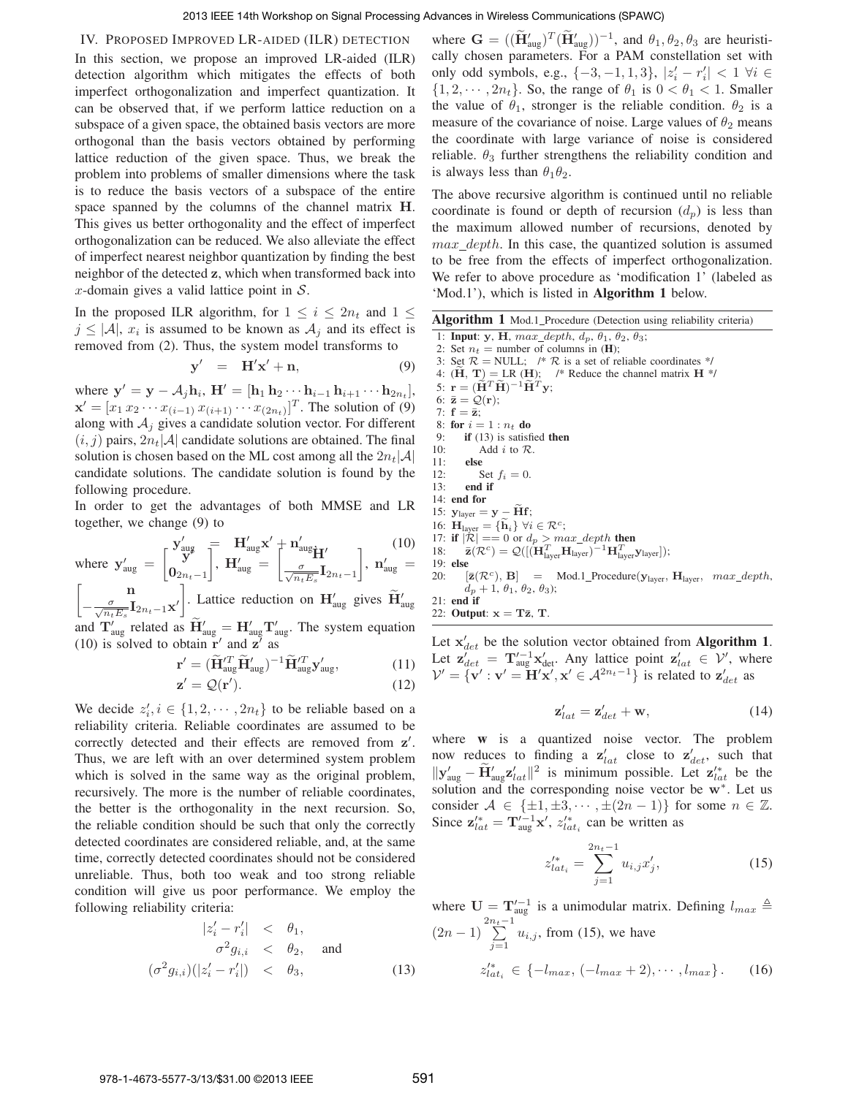#### IV. PROPOSED IMPROVED LR-AIDED (ILR) DETECTION

In this section, we propose an improved LR-aided (ILR) detection algorithm which mitigates the effects of both imperfect orthogonalization and imperfect quantization. It can be observed that, if we perform lattice reduction on a subspace of a given space, the obtained basis vectors are more orthogonal than the basis vectors obtained by performing lattice reduction of the given space. Thus, we break the problem into problems of smaller dimensions where the task is to reduce the basis vectors of a subspace of the entire space spanned by the columns of the channel matrix H. This gives us better orthogonality and the effect of imperfect orthogonalization can be reduced. We also alleviate the effect of imperfect nearest neighbor quantization by finding the best neighbor of the detected z, which when transformed back into x-domain gives a valid lattice point in  $S$ .

In the proposed ILR algorithm, for  $1 \leq i \leq 2n_t$  and  $1 \leq$  $j \leq |\mathcal{A}|$ ,  $x_i$  is assumed to be known as  $\mathcal{A}_j$  and its effect is removed from (2). Thus, the system model transforms to

$$
\mathbf{y}' = \mathbf{H}'\mathbf{x}' + \mathbf{n}, \tag{9}
$$

where  $\mathbf{y}' = \mathbf{y} - A_j \mathbf{h}_i$ ,  $\mathbf{H}' = [\mathbf{h}_1 \mathbf{h}_2 \cdots \mathbf{h}_{i-1} \mathbf{h}_{i+1} \cdots \mathbf{h}_{2n_t}],$  $\mathbf{x}' = [x_1 \, x_2 \cdots x_{(i-1)} \, x_{(i+1)} \cdots x_{(2n)}]^T$ . The solution of (9) along with  $A_i$  gives a candidate solution vector. For different  $(i, j)$  pairs,  $2n_t|\mathcal{A}|$  candidate solutions are obtained. The final solution is chosen based on the ML cost among all the  $2n_t|\mathcal{A}|$ candidate solutions. The candidate solution is found by the following procedure.

In order to get the advantages of both MMSE and LR together, we change (9) to

where 
$$
\mathbf{y}'_{\text{aug}} = \begin{bmatrix} \mathbf{y}'_{\text{aug}} \\ \mathbf{y}' \\ \mathbf{0}_{2n_t-1} \end{bmatrix}
$$
,  $\mathbf{H}'_{\text{aug}} \mathbf{x}' + \mathbf{n}'_{\text{aug}} \mathbf{H}'_{12n_t-1}$  (10)  
\n
$$
\begin{bmatrix} \mathbf{n} \\ -\frac{\sigma}{\sqrt{n_t E_s}} \mathbf{I}_{2n_t-1} \mathbf{x}' \end{bmatrix}
$$
. Lattice reduction on  $\mathbf{H}'_{\text{aug}}$  gives  $\widetilde{\mathbf{H}}'_{\text{aug}}$  and  $\mathbf{T}'_{\text{aug}}$  related as  $\widetilde{\mathbf{H}}'_{\text{aug}} = \mathbf{H}'_{\text{aug}} \mathbf{T}'_{\text{aug}}$ . The system equation (10) is solved to obtain  $\mathbf{r}'$  and  $\mathbf{z}'$  as

$$
\mathbf{r}' = (\widetilde{\mathbf{H}}_{aug}^{\prime T} \widetilde{\mathbf{H}}_{aug}^{\prime})^{-1} \widetilde{\mathbf{H}}_{aug}^{\prime T} \mathbf{y}_{aug}^{\prime}, \qquad (11)
$$

$$
\mathbf{z}' = \mathcal{Q}(\mathbf{r}'). \tag{12}
$$

We decide  $z'_i, i \in \{1, 2, \dots, 2n_t\}$  to be reliable based on a reliability criteria. Reliable coordinates are assumed to be correctly detected and their effects are removed from  $z'$ . Thus, we are left with an over determined system problem which is solved in the same way as the original problem, recursively. The more is the number of reliable coordinates, the better is the orthogonality in the next recursion. So, the reliable condition should be such that only the correctly detected coordinates are considered reliable, and, at the same time, correctly detected coordinates should not be considered unreliable. Thus, both too weak and too strong reliable condition will give us poor performance. We employ the following reliability criteria:

$$
|z'_i - r'_i| < \theta_1,
$$
\n
$$
\sigma^2 g_{i,i} < \theta_2, \quad \text{and}
$$
\n
$$
(\sigma^2 g_{i,i}) (|z'_i - r'_i|) < \theta_3,
$$
\n
$$
(13)
$$

where  $\mathbf{G} = ((\widetilde{\mathbf{H}}'_{\text{aug}})^T (\widetilde{\mathbf{H}}'_{\text{aug}}))^{-1}$ , and  $\theta_1, \theta_2, \theta_3$  are heuristically chosen parameters. For a PAM constellation set with only odd symbols, e.g.,  $\{-3, -1, 1, 3\}$ ,  $|z'_i - r'_i|$  < 1 ∀i ∈  $\{1, 2, \dots, 2n_t\}$ . So, the range of  $\theta_1$  is  $0 < \theta_1 < 1$ . Smaller the value of  $\theta_1$ , stronger is the reliable condition.  $\theta_2$  is a measure of the covariance of noise. Large values of  $\theta_2$  means the coordinate with large variance of noise is considered reliable.  $\theta_3$  further strengthens the reliability condition and is always less than  $\theta_1 \theta_2$ .

The above recursive algorithm is continued until no reliable coordinate is found or depth of recursion  $(d_n)$  is less than the maximum allowed number of recursions, denoted by  $max\_depth$ . In this case, the quantized solution is assumed to be free from the effects of imperfect orthogonalization. We refer to above procedure as 'modification 1' (labeled as 'Mod.1'), which is listed in **Algorithm 1** below.

| Algorithm 1 Mod.1_Procedure (Detection using reliability criteria) |  |  |  |  |
|--------------------------------------------------------------------|--|--|--|--|
|                                                                    |  |  |  |  |

- 1: **Input**: y, H,  $max\_depth$ ,  $d_p$ ,  $\theta_1$ ,  $\theta_2$ ,  $\theta_3$ ;
- 2: Set  $n_t$  = number of columns in (**H**);
- 3: Set  $\mathcal{R} = \text{NULL}$ ; /\*  $\mathcal{R}$  is a set of reliable coordinates \*/
- 4:  $(\mathbf{H}, \mathbf{T}) = \text{LR } (\mathbf{H});$  /\* Reduce the channel matrix  $\mathbf{H}$  \*/
- 5:  $\mathbf{r} = (\widetilde{\mathbf{H}}^T \widetilde{\mathbf{H}})^{-1} \widetilde{\mathbf{H}}^T \mathbf{y};$
- 6:  $\bar{z} = \mathcal{Q}(r)$ ; 7:  $f = \bar{z}$ ;
- 8: **for**  $i = 1 : n_t$  **do**
- 9: **if** (13) is satisfied **then**
- 10: Add  $i$  to  $\mathcal{R}$ .

11: else  
12: Set 
$$
f_i = 0
$$
.

- 12: Set  $f_i = 0$ .<br>13: **end if** end if
- 14: **end for**
- 15:  $y_{layer} = y \widetilde{H}f$ ;
- 16:  $\mathbf{H}_{\text{layer}} = {\tilde{\mathbf{h}}_i} \ \forall i \in \mathcal{R}^c;$
- 
- 17: **if**  $|\mathcal{R}| == 0$  or  $d_p > max\_depth$  **then**<br>18:  $\bar{\mathbf{z}}(\mathcal{R}^c) = \mathcal{Q}([(\mathbf{H}_{layer}^T \mathbf{H}_{layer})^{-1} \mathbf{H}_{layer}^T \mathbf{y}_{layer}]);$
- 19: **else**
- 20:  $[\bar{\mathbf{z}}(\mathcal{R}^c), \mathbf{B}]$  = Mod.1\_Procedure( $\mathbf{y}_{\text{layer}}, \mathbf{H}_{\text{layer}}, \text{max\_depth},$  $d_p+1$ ,  $\theta_1$ ,  $\theta_2$ ,  $\theta_3$ );
- 21: **end if** 22: **Output**:  $x = T\overline{z}$ , T.
- Let  $\mathbf{x}'_{det}$  be the solution vector obtained from **Algorithm 1**. Let  $\mathbf{z}'_{det} = \mathbf{T}'_{\text{aug}}^{-1} \mathbf{x}'_{\text{det}}$ . Any lattice point  $\mathbf{z}'_{lat} \in \mathcal{V}'$ , where  $V' = {\mathbf{v}' : \mathbf{v}' = \mathbf{H}'\mathbf{x}', \mathbf{x}' \in \mathcal{A}^{2n_t-1}}$  is related to  $\mathbf{z}'_{det}$  as

$$
\mathbf{z}_{lat}^{\prime} = \mathbf{z}_{det}^{\prime} + \mathbf{w},\tag{14}
$$

where **w** is a quantized noise vector. The problem now reduces to finding a  $\mathbf{z}_{lat}^{\prime}$  close to  $\mathbf{z}_{det}^{\prime}$ , such that  $||\mathbf{y}'_{\text{aug}} - \tilde{\mathbf{H}}'_{\text{aug}} \mathbf{z}'_{lat}||^2$  is minimum possible. Let  $\mathbf{z}'_{lat}^*$  be the solution and the corresponding noise vector be w<sup>∗</sup>. Let us consider  $A \in {\pm 1, \pm 3, \cdots, \pm (2n-1)}$  for some  $n \in \mathbb{Z}$ . Since  $\mathbf{z}_{lat}^{\prime*} = \mathbf{T}_{aug}^{\prime -1} \mathbf{x}^{\prime}, z_{lat_i}^{\prime*}$  can be written as

$$
z_{lat_i}^{\prime *} = \sum_{j=1}^{2n_t - 1} u_{i,j} x_j^{\prime}, \qquad (15)
$$

where  $U = T'^{-1}_{aug}$  is a unimodular matrix. Defining  $l_{max} \triangleq$  $(2n-1)\sum_{i=1}^{2n_t-1}$  $\sum_{j=1}$   $u_{i,j}$ , from (15), we have  $z_{lat_i}^{\prime*} \in \{-l_{max}, (-l_{max}+2), \cdots, l_{max}\}.$  (16)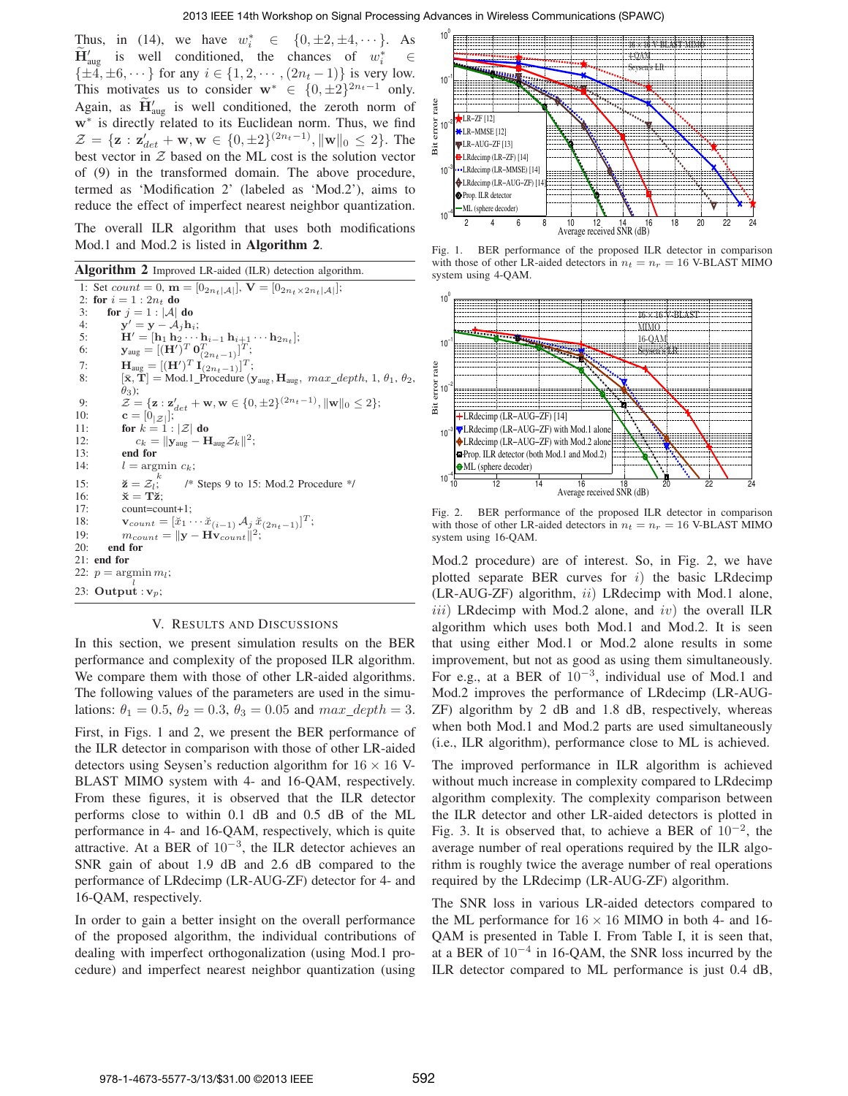Thus, in (14), we have  $w_i^*$  $\in \{0, \pm 2, \pm 4, \cdots\}$ . As  $H'_{\text{aug}}$  is well conditioned, the chances of  $w_i^*$  $i \in$  $\{\pm 4, \pm 6, \cdots\}$  for any  $i \in \{1, 2, \cdots, (2n_t - 1)\}$  is very low. This motivates us to consider  $\mathbf{w}^* \in \{0, \pm 2\}^{2n_t - 1}$  only. Again, as  $H'_{\text{aug}}$  is well conditioned, the zeroth norm of w<sup>∗</sup> is directly related to its Euclidean norm. Thus, we find  $\mathcal{Z} = {\mathbf{z} : \mathbf{z}'_{det} + \mathbf{w}, \mathbf{w} \in \{0, \pm 2\}^{(2n_t - 1)}, ||\mathbf{w}||_0 \leq 2}.$  The best vector in  $Z$  based on the ML cost is the solution vector of (9) in the transformed domain. The above procedure, termed as 'Modification 2' (labeled as 'Mod.2'), aims to reduce the effect of imperfect nearest neighbor quantization.

The overall ILR algorithm that uses both modifications Mod.1 and Mod.2 is listed in **Algorithm 2**.

**Algorithm 2** Improved LR-aided (ILR) detection algorithm. 1: Set  $count = 0$ ,  $\mathbf{m} = [0_{2n_t} | A_t], \mathbf{V} = [0_{2n_t \times 2n_t} | A_t]$ ; 2: **for**  $i = 1 : 2n_t$  **do** 3: **for**  $j = 1$  :  $|\mathcal{A}|$  **do**<br>4: **y'** = **y** -  $\mathcal{A}_j$  **h** 4:  $\mathbf{y}' = \mathbf{y} - \mathcal{A}_j \mathbf{h}_i;$ 5:  $\mathbf{H}' = [\mathbf{h}_1 \ \mathbf{h}_2 \cdots \mathbf{h}_{i-1} \ \mathbf{h}_{i+1} \cdots \mathbf{h}_{2n_t}];$ <br>
6:  $\mathbf{y}_{\text{aug}} = [(\mathbf{H}')^T \mathbf{0}_{(2n_t-1)}^T]^T;$ 7:  $\mathbf{H}_{\text{aug}} = [(\mathbf{H}')^T \mathbf{I}_{(2n_t-1)}]^T;$ 8:  $[\bar{\mathbf{x}}, \bar{\mathbf{T}}] = \text{Mod.1\_Proceedure}(\mathbf{y}_{\text{aug}}, \mathbf{H}_{\text{aug}}, \text{max\_depth}, 1, \theta_1, \theta_2,$  $\ddot{\theta}_3$ ); 9:  $\mathcal{Z} = {\mathbf{z} : \mathbf{z}_{det}' + \mathbf{w}, \mathbf{w} \in \{0, \pm 2\}^{(2n_t - 1)}, ||\mathbf{w}||_0 \leq 2};$ 10: **c** =  $[0_{|Z|}]$ ;<br>11: **for**  $k = 1 : |Z|$  **do** 12:  $c_k = ||\mathbf{y}_{\text{aug}} - \mathbf{H}_{\text{aug}} \mathcal{Z}_k||^2;$ 13: **end for** 14:  $l = \text{argmin } c_k;$ k 15:  $\breve{\mathbf{z}} = \mathcal{Z}_l$ ;<br>16:  $\breve{\mathbf{x}} = \mathbf{T}\breve{\mathbf{z}}$ ; /\* Steps 9 to 15: Mod.2 Procedure \*/  $\breve{\mathbf{x}} = \mathbf{T}\breve{\mathbf{z}};$ 17: count=count+1; 18:  $\mathbf{v}_{count} = [\breve{x}_1 \cdots \breve{x}_{(i-1)} \mathcal{A}_j \breve{x}_{(2n_t-1)}]^T;$ 19:  $m_{count} = ||\mathbf{y} - \mathbf{H} \mathbf{v}_{count}||^2;$ 20: **end for** 21: **end for** 22:  $p = \operatorname{argmin} m_l$ ; 23: Output :  $\mathbf{v}_p$ ;

## V. RESULTS AND DISCUSSIONS

In this section, we present simulation results on the BER performance and complexity of the proposed ILR algorithm. We compare them with those of other LR-aided algorithms. The following values of the parameters are used in the simulations:  $\theta_1 = 0.5$ ,  $\theta_2 = 0.3$ ,  $\theta_3 = 0.05$  and  $max\_depth = 3$ . First, in Figs. 1 and 2, we present the BER performance of the ILR detector in comparison with those of other LR-aided detectors using Seysen's reduction algorithm for  $16 \times 16$  V-BLAST MIMO system with 4- and 16-QAM, respectively. From these figures, it is observed that the ILR detector performs close to within 0.1 dB and 0.5 dB of the ML performance in 4- and 16-QAM, respectively, which is quite attractive. At a BER of  $10^{-3}$ , the ILR detector achieves an SNR gain of about 1.9 dB and 2.6 dB compared to the performance of LRdecimp (LR-AUG-ZF) detector for 4- and 16-QAM, respectively.

In order to gain a better insight on the overall performance of the proposed algorithm, the individual contributions of dealing with imperfect orthogonalization (using Mod.1 procedure) and imperfect nearest neighbor quantization (using



Fig. 1. BER performance of the proposed ILR detector in comparison with those of other LR-aided detectors in  $n_t = n_r = 16$  V-BLAST MIMO system using 4-QAM.



Fig. 2. BER performance of the proposed ILR detector in comparison with those of other LR-aided detectors in  $n_t = n_r = 16$  V-BLAST MIMO system using 16-QAM.

Mod.2 procedure) are of interest. So, in Fig. 2, we have plotted separate BER curves for  $i$ ) the basic LRdecimp (LR-AUG-ZF) algorithm, ii) LRdecimp with Mod.1 alone,  $iii)$  LRdecimp with Mod.2 alone, and  $iv)$  the overall ILR algorithm which uses both Mod.1 and Mod.2. It is seen that using either Mod.1 or Mod.2 alone results in some improvement, but not as good as using them simultaneously. For e.g., at a BER of  $10^{-3}$ , individual use of Mod.1 and Mod.2 improves the performance of LRdecimp (LR-AUG-ZF) algorithm by 2 dB and 1.8 dB, respectively, whereas when both Mod.1 and Mod.2 parts are used simultaneously (i.e., ILR algorithm), performance close to ML is achieved.

The improved performance in ILR algorithm is achieved without much increase in complexity compared to LRdecimp algorithm complexity. The complexity comparison between the ILR detector and other LR-aided detectors is plotted in Fig. 3. It is observed that, to achieve a BER of  $10^{-2}$ , the average number of real operations required by the ILR algorithm is roughly twice the average number of real operations required by the LRdecimp (LR-AUG-ZF) algorithm.

The SNR loss in various LR-aided detectors compared to the ML performance for  $16 \times 16$  MIMO in both 4- and 16-QAM is presented in Table I. From Table I, it is seen that, at a BER of  $10^{-4}$  in 16-QAM, the SNR loss incurred by the ILR detector compared to ML performance is just 0.4 dB,